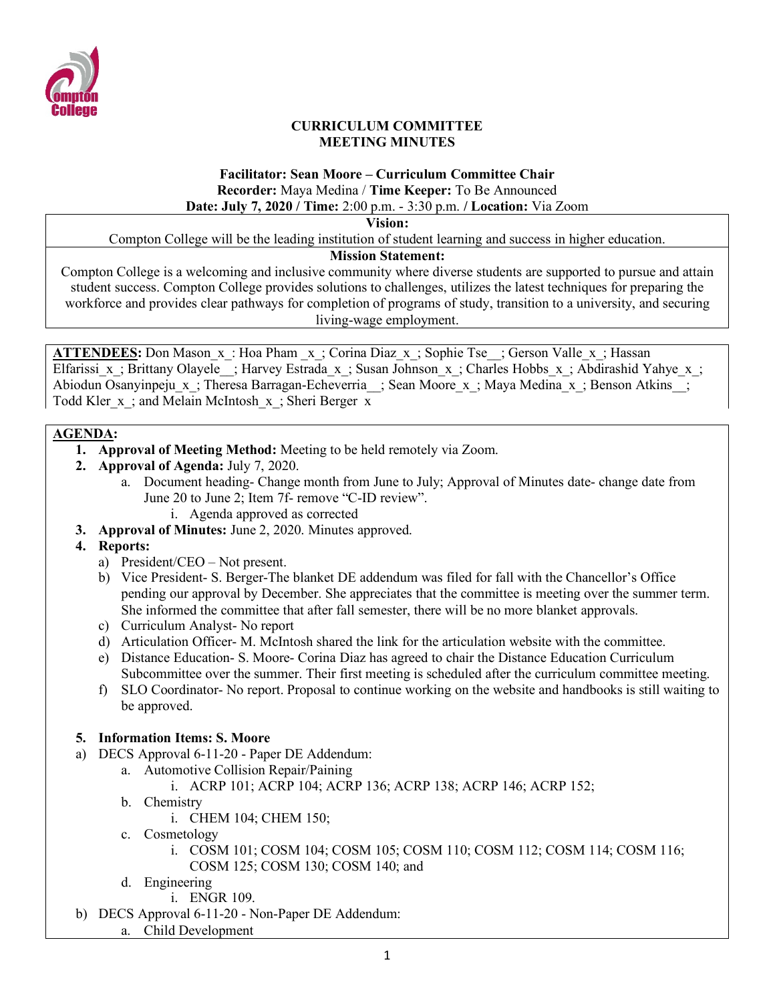

#### **CURRICULUM COMMITTEE MEETING MINUTES**

#### **Facilitator: Sean Moore – Curriculum Committee Chair Recorder:** Maya Medina / **Time Keeper:** To Be Announced **Date: July 7, 2020 / Time:** 2:00 p.m. - 3:30 p.m. **/ Location:** Via Zoom

**Vision:**

Compton College will be the leading institution of student learning and success in higher education.

## **Mission Statement:**

Compton College is a welcoming and inclusive community where diverse students are supported to pursue and attain student success. Compton College provides solutions to challenges, utilizes the latest techniques for preparing the workforce and provides clear pathways for completion of programs of study, transition to a university, and securing living-wage employment.

**ATTENDEES:** Don Mason x: Hoa Pham x; Corina Diaz x; Sophie Tse ; Gerson Valle x; Hassan Elfarissi x; Brittany Olayele ; Harvey Estrada x; Susan Johnson x; Charles Hobbs x; Abdirashid Yahye x; Abiodun Osanyinpeju\_x\_; Theresa Barragan-Echeverria\_\_; Sean Moore\_x\_; Maya Medina\_x\_; Benson Atkins\_\_; Todd Kler\_x\_; and Melain McIntosh\_x\_; Sheri Berger x

## **AGENDA:**

- **1. Approval of Meeting Method:** Meeting to be held remotely via Zoom.
- **2. Approval of Agenda:** July 7, 2020.
	- a. Document heading- Change month from June to July; Approval of Minutes date- change date from June 20 to June 2; Item 7f- remove "C-ID review".
		- i. Agenda approved as corrected
- **3. Approval of Minutes:** June 2, 2020. Minutes approved.
- **4. Reports:**
	- a) President/CEO Not present.
	- b) Vice President- S. Berger-The blanket DE addendum was filed for fall with the Chancellor's Office pending our approval by December. She appreciates that the committee is meeting over the summer term. She informed the committee that after fall semester, there will be no more blanket approvals.
	- c) Curriculum Analyst- No report
	- d) Articulation Officer- M. McIntosh shared the link for the articulation website with the committee.
	- e) Distance Education- S. Moore- Corina Diaz has agreed to chair the Distance Education Curriculum Subcommittee over the summer. Their first meeting is scheduled after the curriculum committee meeting.
	- f) SLO Coordinator- No report. Proposal to continue working on the website and handbooks is still waiting to be approved.

# **5. Information Items: S. Moore**

- a) DECS Approval 6-11-20 Paper DE Addendum:
	- a. Automotive Collision Repair/Paining
		- i. ACRP 101; ACRP 104; ACRP 136; ACRP 138; ACRP 146; ACRP 152;
	- b. Chemistry
		- i. CHEM 104; CHEM 150;
	- c. Cosmetology
		- i. COSM 101; COSM 104; COSM 105; COSM 110; COSM 112; COSM 114; COSM 116; COSM 125; COSM 130; COSM 140; and
	- d. Engineering
		- i. ENGR 109.
- b) DECS Approval 6-11-20 Non-Paper DE Addendum:
	- a. Child Development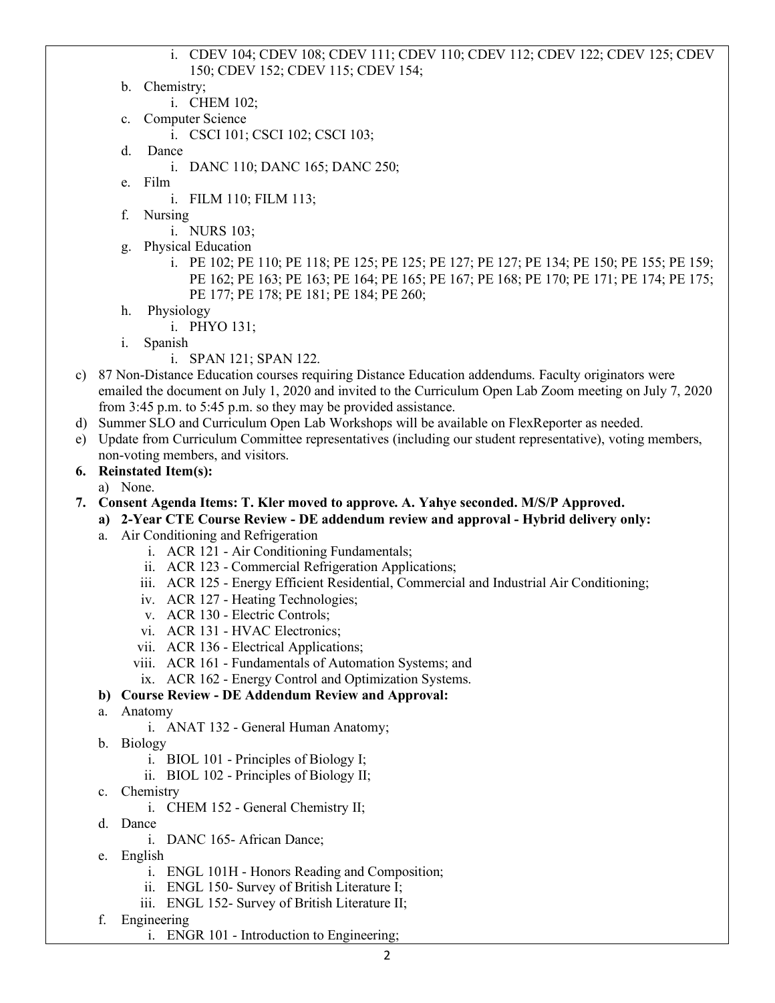#### i. CDEV 104; CDEV 108; CDEV 111; CDEV 110; CDEV 112; CDEV 122; CDEV 125; CDEV 150; CDEV 152; CDEV 115; CDEV 154;

- b. Chemistry;
- i. CHEM 102;
- c. Computer Science
	- i. CSCI 101; CSCI 102; CSCI 103;
- d. Dance
	- i. DANC 110; DANC 165; DANC 250;
- e. Film
	- i. FILM 110; FILM 113;
- f. Nursing

i. NURS 103;

g. Physical Education

i. PE 102; PE 110; PE 118; PE 125; PE 125; PE 127; PE 127; PE 134; PE 150; PE 155; PE 159; PE 162; PE 163; PE 163; PE 164; PE 165; PE 167; PE 168; PE 170; PE 171; PE 174; PE 175; PE 177; PE 178; PE 181; PE 184; PE 260;

- h. Physiology
	- i. PHYO 131;
- i. Spanish
	- i. SPAN 121; SPAN 122.
- c) 87 Non-Distance Education courses requiring Distance Education addendums. Faculty originators were emailed the document on July 1, 2020 and invited to the Curriculum Open Lab Zoom meeting on July 7, 2020 from 3:45 p.m. to 5:45 p.m. so they may be provided assistance.
- d) Summer SLO and Curriculum Open Lab Workshops will be available on FlexReporter as needed.
- e) Update from Curriculum Committee representatives (including our student representative), voting members, non-voting members, and visitors.

#### **6. Reinstated Item(s):**

a) None.

#### **7. Consent Agenda Items: T. Kler moved to approve. A. Yahye seconded. M/S/P Approved.**

- **a) 2-Year CTE Course Review - DE addendum review and approval - Hybrid delivery only:** 
	- a. Air Conditioning and Refrigeration
		- i. ACR 121 Air Conditioning Fundamentals;
		- ii. ACR 123 Commercial Refrigeration Applications;
		- iii. ACR 125 Energy Efficient Residential, Commercial and Industrial Air Conditioning;
		- iv. ACR 127 Heating Technologies;
		- v. ACR 130 Electric Controls;
		- vi. ACR 131 HVAC Electronics;
		- vii. ACR 136 Electrical Applications;
		- viii. ACR 161 Fundamentals of Automation Systems; and
		- ix. ACR 162 Energy Control and Optimization Systems.

### **b) Course Review - DE Addendum Review and Approval:**

- a. Anatomy
	- i. ANAT 132 General Human Anatomy;
- b. Biology
	- i. BIOL 101 Principles of Biology I;
	- ii. BIOL 102 Principles of Biology II;
- c. Chemistry
	- i. CHEM 152 General Chemistry II;
- d. Dance
	- i. DANC 165- African Dance;
- e. English
	- i. ENGL 101H Honors Reading and Composition;
	- ii. ENGL 150- Survey of British Literature I;
	- iii. ENGL 152- Survey of British Literature II;
- f. Engineering
	- i. ENGR 101 Introduction to Engineering;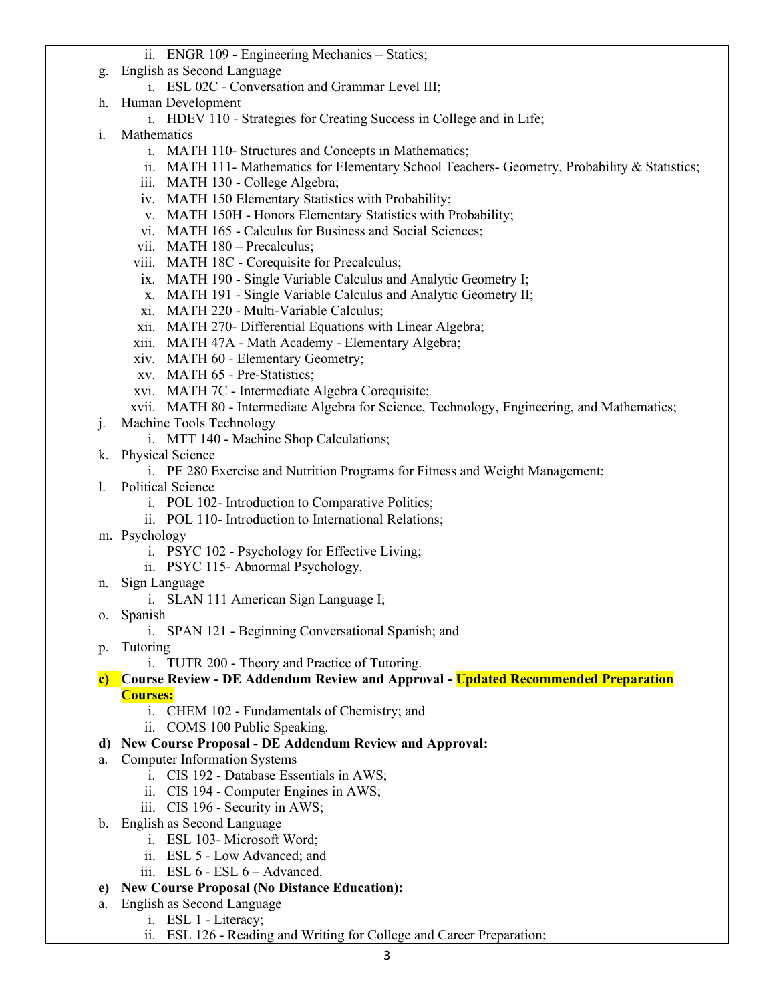- ii. ENGR 109 Engineering Mechanics Statics;
- g. English as Second Language
	- i. ESL 02C Conversation and Grammar Level III;
- h. Human Development
	- i. HDEV 110 Strategies for Creating Success in College and in Life;
- i. Mathematics
	- i. MATH 110- Structures and Concepts in Mathematics;
	- ii. MATH 111- Mathematics for Elementary School Teachers- Geometry, Probability & Statistics;
	- iii. MATH 130 College Algebra;
	- iv. MATH 150 Elementary Statistics with Probability;
	- v. MATH 150H Honors Elementary Statistics with Probability;
	- vi. MATH 165 Calculus for Business and Social Sciences;
	- vii. MATH 180 Precalculus;
	- viii. MATH 18C Corequisite for Precalculus;
	- ix. MATH 190 Single Variable Calculus and Analytic Geometry I;
	- x. MATH 191 Single Variable Calculus and Analytic Geometry II;
	- xi. MATH 220 Multi-Variable Calculus;
	- xii. MATH 270- Differential Equations with Linear Algebra;
	- xiii. MATH 47A Math Academy Elementary Algebra;
	- xiv. MATH 60 Elementary Geometry;
	- xv. MATH 65 Pre-Statistics;
	- xvi. MATH 7C Intermediate Algebra Corequisite;
	- xvii. MATH 80 Intermediate Algebra for Science, Technology, Engineering, and Mathematics;
- j. Machine Tools Technology
	- i. MTT 140 Machine Shop Calculations;
- k. Physical Science
	- i. PE 280 Exercise and Nutrition Programs for Fitness and Weight Management;
- l. Political Science
	- i. POL 102- Introduction to Comparative Politics;
	- ii. POL 110- Introduction to International Relations;
- m. Psychology
	- i. PSYC 102 Psychology for Effective Living;
	- ii. PSYC 115- Abnormal Psychology.
- n. Sign Language
	- i. SLAN 111 American Sign Language I;
- o. Spanish
	- i. SPAN 121 Beginning Conversational Spanish; and
- p. Tutoring
	- i. TUTR 200 Theory and Practice of Tutoring.
- **c) Course Review - DE Addendum Review and Approval - Updated Recommended Preparation Courses:** 
	- i. CHEM 102 Fundamentals of Chemistry; and
	- ii. COMS 100 Public Speaking.
- **d) New Course Proposal - DE Addendum Review and Approval:**
- a. Computer Information Systems
	- i. CIS 192 Database Essentials in AWS;
	- ii. CIS 194 Computer Engines in AWS;
	- iii. CIS 196 Security in AWS;
- b. English as Second Language
	- i. ESL 103- Microsoft Word;
	- ii. ESL 5 Low Advanced; and
	- iii. ESL 6 ESL 6 Advanced.
- **e) New Course Proposal (No Distance Education):**
- a. English as Second Language
	- i. ESL 1 Literacy;
	- ii. ESL 126 Reading and Writing for College and Career Preparation;